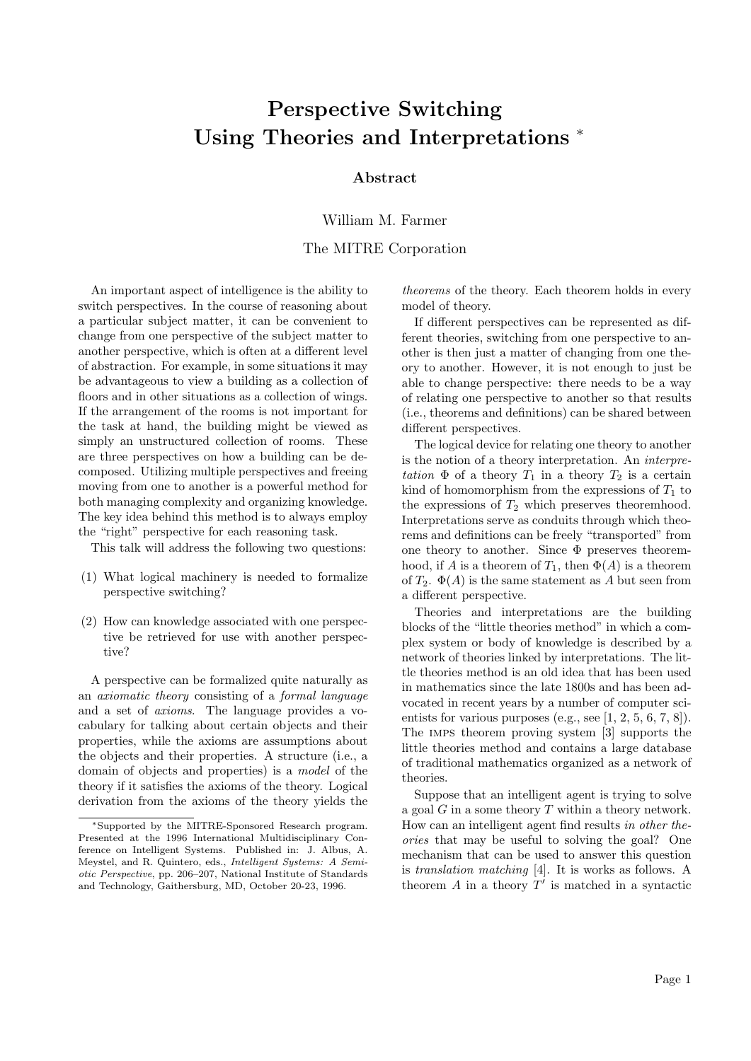## Perspective Switching Using Theories and Interpretations <sup>∗</sup>

## Abstract

William M. Farmer

The MITRE Corporation

An important aspect of intelligence is the ability to switch perspectives. In the course of reasoning about a particular subject matter, it can be convenient to change from one perspective of the subject matter to another perspective, which is often at a different level of abstraction. For example, in some situations it may be advantageous to view a building as a collection of floors and in other situations as a collection of wings. If the arrangement of the rooms is not important for the task at hand, the building might be viewed as simply an unstructured collection of rooms. These are three perspectives on how a building can be decomposed. Utilizing multiple perspectives and freeing moving from one to another is a powerful method for both managing complexity and organizing knowledge. The key idea behind this method is to always employ the "right" perspective for each reasoning task.

This talk will address the following two questions:

- (1) What logical machinery is needed to formalize perspective switching?
- (2) How can knowledge associated with one perspective be retrieved for use with another perspective?

A perspective can be formalized quite naturally as an axiomatic theory consisting of a formal language and a set of axioms. The language provides a vocabulary for talking about certain objects and their properties, while the axioms are assumptions about the objects and their properties. A structure (i.e., a domain of objects and properties) is a model of the theory if it satisfies the axioms of the theory. Logical derivation from the axioms of the theory yields the

theorems of the theory. Each theorem holds in every model of theory.

If different perspectives can be represented as different theories, switching from one perspective to another is then just a matter of changing from one theory to another. However, it is not enough to just be able to change perspective: there needs to be a way of relating one perspective to another so that results (i.e., theorems and definitions) can be shared between different perspectives.

The logical device for relating one theory to another is the notion of a theory interpretation. An interpretation  $\Phi$  of a theory  $T_1$  in a theory  $T_2$  is a certain kind of homomorphism from the expressions of  $T_1$  to the expressions of  $T_2$  which preserves theoremhood. Interpretations serve as conduits through which theorems and definitions can be freely "transported" from one theory to another. Since  $\Phi$  preserves theoremhood, if A is a theorem of  $T_1$ , then  $\Phi(A)$  is a theorem of  $T_2$ .  $\Phi(A)$  is the same statement as A but seen from a different perspective.

Theories and interpretations are the building blocks of the "little theories method" in which a complex system or body of knowledge is described by a network of theories linked by interpretations. The little theories method is an old idea that has been used in mathematics since the late 1800s and has been advocated in recent years by a number of computer scientists for various purposes (e.g., see  $[1, 2, 5, 6, 7, 8]$ ). The imps theorem proving system [3] supports the little theories method and contains a large database of traditional mathematics organized as a network of theories.

Suppose that an intelligent agent is trying to solve a goal  $G$  in a some theory  $T$  within a theory network. How can an intelligent agent find results in other theories that may be useful to solving the goal? One mechanism that can be used to answer this question is translation matching [4]. It is works as follows. A theorem  $A$  in a theory  $T'$  is matched in a syntactic

<sup>∗</sup>Supported by the MITRE-Sponsored Research program. Presented at the 1996 International Multidisciplinary Conference on Intelligent Systems. Published in: J. Albus, A. Meystel, and R. Quintero, eds., Intelligent Systems: A Semiotic Perspective, pp. 206–207, National Institute of Standards and Technology, Gaithersburg, MD, October 20-23, 1996.